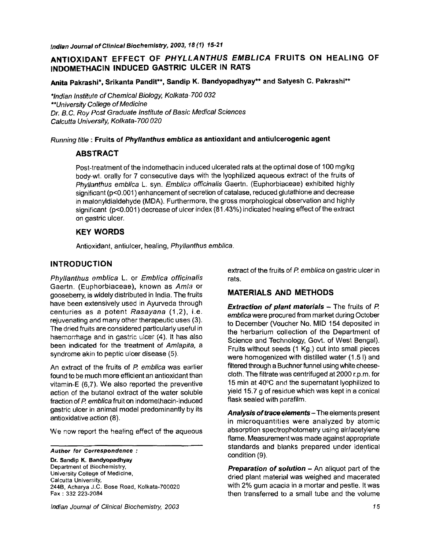# **ANTIOXIDANT EFFECT OF** *PHYLLANTHUS EMBLICA* **FRUITS ON HEALING OF INDOMETHACIN INDUCED GASTRIC ULCER IN RATS**

**Anita Pakrashi\*, Srikanta Pandit\*\*, Sandip K. Bandyopadhyay\*\* and Satyesh C.** *Pakrashi\*\** 

*\*indian Institute of Chemical Biology, Kolkata-700 032 \*\*University College of Medicine Dr. B. C. Roy Post Graduate Institute of Basic Medical Sciences Calcutta University, Ko/kata-700 020* 

#### *Running title* : Fruits of *Phyllanthus embfica* **as antioxidant and antiulcerogenic agent**

#### **ABSTRACT**

Post-treatment of the indomethacin induced ulcerated rats at the optimal dose of 100 mg/kg body-wt, orally for 7 consecutive days with the lyophilized aqueous extract of the fruits of *Phyllanthus emblica* L. syn. *Emblica officinalis* Gaertn. *(Euphorbiaceae)* exhibited highly significant (p<0.001) enhancement of secretion of catalase, reduced glutathione and decrease in malonyldialdehyde (MDA). Furthermore, the gross morphological observation and highly significant (p<0.001) decrease of ulcer index (81.43%) indicated healing effect of the extract on gastric ulcer.

### **KEY WORDS**

Antioxidant, antiulcer, healing, *Phyllanthus emblica.* 

### **INTRODUCTION**

*Phy/lanthus emblica* L. or *Emb/ica officinalis*  Gaertn. (Euphorbiaceae), known as *Am/a* or gooseberry, is widely distributed in India. The fruits have been extensively used in Ayurveda through centuries as a potent *Rasayana* (1,2), i.e. rejuvenating and many other therapeutic uses (3). The dried fruits are considered particularly useful in haemorrhage and in gastric ulcer (4). It has also been indicated for the treatment of *Amlapita, a*  syndrome akin to peptic ulcer disease (5).

An extract of the fruits of P. *emblica* was earlier found to be much more efficient an antioxidant than vitamin-E (6,7). We also reported the preventive action of the butanol extract of the water soluble fraction of *P. emblica* fruit on indomethacin-induced gastric ulcer in animal model predominantly by its antioxidative action (8).

We now report the healing effect of the aqueous

*Author for Correspondence :* 

**Dr. Sandip K. Bandyopadhyay**  Department of Biochemistry, University College of Medicine, Calcutta University, 244B, Acharya J.C. Bose Road, Kolkata-700020 Fax : 332 223-2084

*Indian Journal of Clinical Biochemistry, 2003* 

extract of the fruits of P. *embfica* on gastric ulcer in rats.

## **MATERIALS AND METHODS**

**Extraction of plant materials - The fruits of P.** *emblica* were procured from market during October to December (Voucher No. MID 154 deposited in the herbarium collection of the Department of Science and Technology, Govt. of West Bengat). Fruits without seeds (1 Kg.) cut into small pieces were homogenized with distilled water (1.5 I) and filtered through a Buchner funnel using white cheesecloth. The filtrate was centrifuged at 2000 r.p.m, for 15 min at  $40^{\circ}$ C and the supernatant lyophilized to yield 15.7 g of residue which was kept in a conical flask sealed with parafilm.

*Analysis of trace elements-* The elements present in microquantities were analyzed by atomic absorption spectrophotometry using air/acetylene flame. Measurement was made against appropriate standards and blanks prepared under identical condition (9).

**Preparation of solution - An aliquot part of the** dried plant material was weighed and macerated with 2% gum acacia in a mortar and pestle. It was then transferred to a small tube and the volume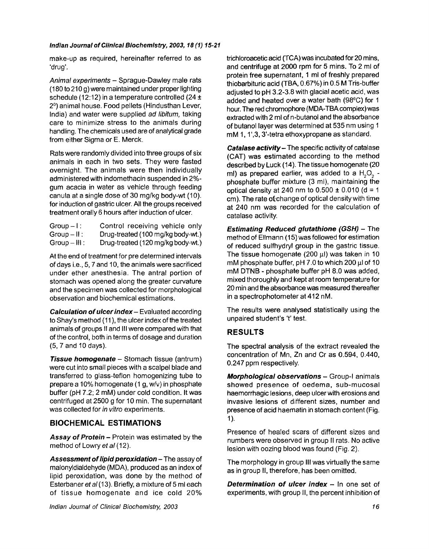#### *Indian Journal of Clinical Biochemistry, 2003, 18 (1) 15-21*

make-up as required, hereinafter referred to as 'drug'.

*Animal experiments -* Sprague-Dawley male rats (180 to 210 g) were maintained under proper lighting schedule (12:12) in a temperature controlled (24  $\pm$ 2º) animal house. Food pellets (Hindusthan Lever, India) and water were supplied *ad libitum,* taking care to minimize stress to the animals during handling. The chemicals used are of analytical grade from either Sigma or E. Merck.

Rats were randomly divided into three groups of six animals in each in two sets. They were fasted overnight. The animals were then individually administered with indomethacin suspended in 2% gum acacia in water as vehicle through feeding canula at a single dose of 30 mg/kg body-wt (10). for induction of gastric ulcer. All the groups received treatment orally 6 hours after induction of ulcer.

| $Group - 1:$    | Control receiving vehicle only    |
|-----------------|-----------------------------------|
| $Group - II:$   | Drug-treated (100 mg/kg body-wt.) |
| $Group - III$ : | Drug-treated (120 mg/kg body-wt.) |

At the end of treatment for pre determined intervals of days i.e., 5, 7 and 10, the animals were sacrificed under ether anesthesia. The antral portion of stomach was opened along the greater curvature and the specimen was collected for morphological observation and biochemical estimations.

*Calculation of ulcer index - Evaluated according* to Shay's method (11), the ulcer index of the treated animals of groups II and Ill were compared with that of the control, both in terms of dosage and duration (5, 7 and 10 days).

*Tissue homogenate -* Stomach tissue (antrum) were cut into small pieces with a scalpel blade and transferred to glass-teflon homogenizing tube to prepare a 10% homogenate (1 g, w/v) in phosphate buffer (pH 7.2; 2 mM) under cold condition. It was centrifuged at 2500 g for 10 min. The supernatant was collected for *in vitro* experiments.

## **BIOCHEMICAL ESTIMATIONS**

*Assay of Protein -* Protein was estimated by the method of Lowry *et al* (12).

Assessment of lipid peroxidation – The assay of malonyldialdehyde (MDA), produced as an index of lipid peroxidation, was done by the method of Esterbaner *et al* (13). Briefly, a mixture of 5 ml each of tissue homogenate and ice cold 20%

trichloroacetic acid (TCA)was incubated for 20 mins, and centrifuge at 2000 rpm for 5 mins. To 2 ml of protein free supernatant, 1 ml of freshly prepared thiobarbituric acid (TBA, 0.67%) in 0.5 M Tris-buffer adjusted to pH 3.2-3.8 with glacial acetic acid, was added and heated over a water bath (98°C) for 1 hour. The red chromophore (MDA-TBA complex)was extracted with 2 ml of n-butanol and the absorbance of butanol layer was determined at 535 nm using 1 mM 1, 1',3, 3'-tetra ethoxypropane as standard.

*Catalase activity-* The specific activity of catalase (CAT) was estimated according to the method **described** by Luck (14). The tissue homogenate (20 ml) as prepared earlier, was added to a  $H_2O_2$  phosphate buffer mixture (3 ml), maintaining the optical density at 240 nm to  $0.500 \pm 0.010$  (d = 1 cm). The rate of change of optical density with time at 240 nm was recorded for the calculation of catalase activity.

*Estimating Reduced glutathione (GSH) -* The method of Ellmann (15) was followed for estimation of reduced sulfhydryl group in the gastric tissue. The tissue homogenate (200  $\mu$ I) was taken in 10 mM phosphate buffer, pH 7.0 to which 200  $\mu$  of 10 mM DTNB - phosphate buffer pH 8.0 was added, mixed thoroughly and kept at room temperature for 20 min and the absorbance was measured thereafter in a spectrophotometer at 412 nM.

The results were analysed statistically using the unpaired student's 't' test.

## **RESULTS**

The spectral analysis of the extract revealed the concentration of Mn, Zn and Cr as 0.594, 0.440, 0.247 ppm respectively.

*Morphological observations -* Group-I animals showed presence of oedema, sub-mucosal haemorrhagic lesions, deep ulcer with erosions and invasive lesions of different sizes, number and presence of acid haematin in stomach content (Fig. 1).

Presence of heaIed scars of different sizes and numbers were observed in group II rats. No active lesion with oozing blood was found (Fig. 2).

The morphology in group III was virtually the same as in group II, therefore, has been omitted.

*Determination of ulcer index-* In one set of experiments, with group II, the percent inhibition of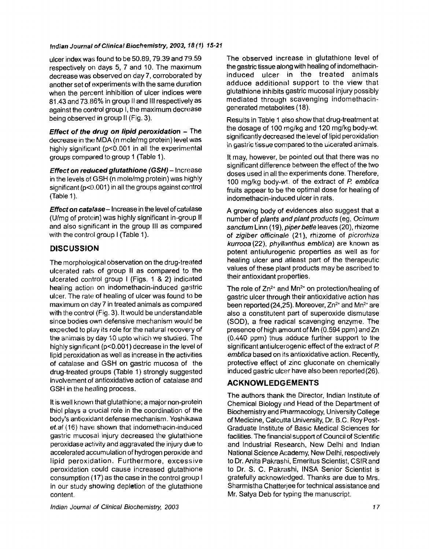#### *Indian Journal of Clinical Biochemistry, 2003, 18 (1J 15-2t*

ulcer index was found to be 50.89, 79.39 and 79.59 respectively on days 5, 7 and 10. The maximum decrease was observed on day 7, corroborated by another set of experiments with the same duration when the percent inhibition of ulcer indices were 81.43 and 73.86% in group II and III respectively as against the control group I, the maximum decrease being observed in group II (Fig. 3).

*Effect of the drug on lipid peroxidation -* **The**  decrease in the MDA (n mole/mg protein) level was highly significant (p<0.001 in all the experimental groups compared to group 1 (Table 1 ).

*Effect on reduced glutathione (GSH) -* Increase in the levels of GSH (n mole/mg protein) was highly significant (p<0.001) in all the groups against control (Table 1).

*Effect on catalase-* Increase in the level of catalase (U/mg of protein) was highly significant in-group II and also significant in the group III as compared with the control group I (Table 1).

### **DISCUSSION**

The morphological observation on the drug-treated ulcerated rats of group II as compared to the ulcerated control group I (Figs. 1 & 2) indicated healing action on indomethacin-induced gastric ulcer. The rate of healing of ulcer was found to be maximum on day 7 in treated animals as compared with the control (Fig. 3). It would be understandable since bodies own defensive mechanism would be expected to play its role for the natural recovery of the animals by day 10 upto which we studied. The highly significant (p<0.001) decrease in the level of lipid peroxidation as well as increase in the activities of catalase and GSH on gastric mucosa of the drug-treated groups (Table 1) strongly suggested involvement of antioxidative action of catalase and GSH in the healing process.

It is well known that glutathione; a major non-protein thiol plays a crucial role in the coordination of the body's antioxidant defense mechanism. Yoshikawa *et.al* (16) have shown that indomethacin-induced gastric mucosal injury decreased the glutathione peroxidase activity and aggravated the injury due to accelerated accumulation of hydrogen peroxide and lipid peroxidation. Furthermore, excessive peroxidation could cause increased glutathione consumption (17) as the case in the control group I in our study showing depletion of the glutathione content.

The observed increase in glutathione level of the gastric tissue along with healing of indomethacininduced ulcer in the treated animals adduce additional support to the view that glutathione inhibits gastric mucosal injury possibly mediated through scavenging indomethacingenerated metabolites (18).

Results in Table 1 also show that drug-treatment at the dosage of 100 mg/kg and 120 mg/kg body-wt. significantly decreased the level of lipid peroxidation in gastric tissue compared to the ulcerated animats.

It may, however, be pointed out that there was no significant difference between the effect of the two doses used in all the experiments done. Therefore, 100 mg/kg body-wt, of the extract of *P. emblica*  fruits appear to be the optimal dose for healing of indomethacin-induced ulcer in rats.

A growing body of evidences also suggest that a number of *plants and plant products* (eg, *Ocimum sanctum* Linn (19), *piper betle* leaves (20), rhizome of *zigiber officinate* (21), rhizome of *picrorhiza kurrooa* (22), *phytlanthus emblica)* are known as potent antiulurogenic properties as well as for healing ulcer and atleast part of the therapeutic values of these plant products may be ascribed to their antioxidant properties.

The role of  $Zn^{2+}$  and  $Mn^{2+}$  on protection/healing of gastric ulcer through their antioxidative action has been reported (24,25). Moreover,  $Zn^{2+}$  and Mn<sup>2+</sup> are also a constitutent part of superoxide dismutase (SOD), a free radical scavenging enzyme. The presence of high amount of Mn (0.594 ppm) and Zn  $(0.440$  ppm) thus adduce further support to the significant antiulcerogenic effect of the extract of P. *emblica* based on its antioxidative action. Recently, protective effect of zinc gluconate on chemically induced gastric ulcer have also been reported (26).

# **ACKNOWLEDGEMENTS**

The authors thank the Director, Indian Institute of Chemical Biology and Head of the Department of Biochemistry and Pharmacology, University College of Medicine, Calcutta University, Dr. B.C. Roy Post-Graduate Institute of Basic Medical Sciences for facilities. The financial support of Council of Scientific and Industrial Research, New Delhi and Indian National Science Academy, New Delhi, respectively to Dr. Anita Pakrashi, Emeritus Scientist, CSIR and to Dr. S. C. Pakrashi, INSA Senior Scientist is gratefully acknowledged. Thanks are due to Mrs. Sharmistha Chatterjee for technical assistance and Mr. Satya Deb for typing the manuscript.

*Indian Journal of Clinical Biochemistry, 2003*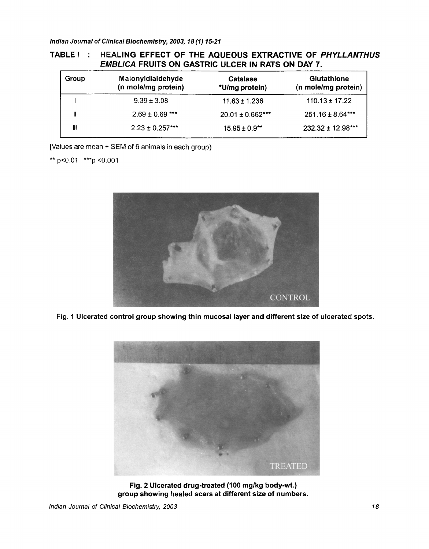*Indian Journal of Clinical Biochemistry, 2003, 18 (1) 15-21* 

# **TABLE I " HEALING EFFECT OF THE AQUEOUS EXTRACTIVE OF** *PHYLLANTHUS EMBLICA* **FRUITS ON GASTRIC ULCER IN RATS ON DAY 7.**

| Group | MalonyIdialdehyde<br>(n mole/mg protein) | Catalase<br>*U/mg protein) | <b>Glutathione</b><br>(n mole/mg protein) |
|-------|------------------------------------------|----------------------------|-------------------------------------------|
|       | $9.39 \pm 3.08$                          | $11.63 \pm 1.236$          | $110.13 \pm 17.22$                        |
|       | $2.69 \pm 0.69$ ***                      | $20.01 \pm 0.662$ ***      | $251.16 \pm 8.64***$                      |
| Ш     | $2.23 \pm 0.257***$                      | $15.95 \pm 0.9$ **         | $232.32 \pm 12.98***$                     |

[Values are mean + SEM of 6 animals in each group)

\*\* p<0.01 \*\*\* p <0.001



**Fig. 1** Ulcerated control group showing thin mucosal layer and different size of ulcerated spots,



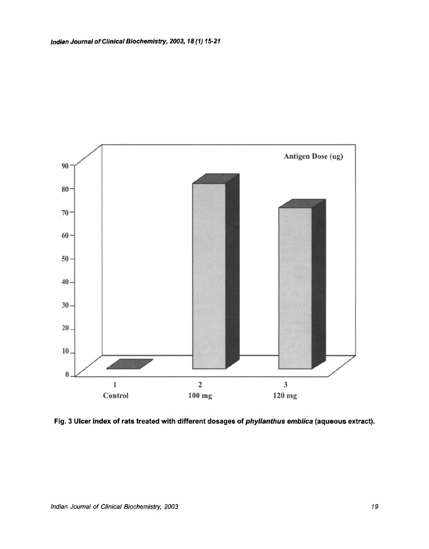

Fig. 3 Ulcer index of rats treated with different dosages of *phyllanthus emblica* (aqueous extract).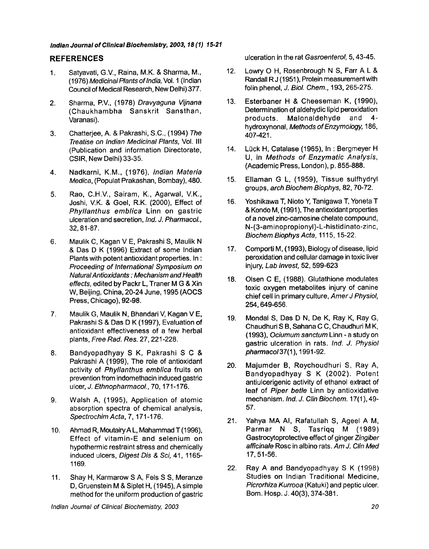#### *Indian Journal of Clinical Biochemistry, 2003, 18 (1) 15.21*

### **REFERENCES**

- 1. Satyavati, G.V., Raina, M.K. & Sharma, M., (1976) *Medicina/Plants of India,* Vol. 1 (Indian Council of Medical Research, New Delhi) 377.
- 2. Sharma, P.V., (1978) *Dravyaguna Vijnana*  (Chaukhambha Sanskrit Sansthan, Varanasi).
- 3. Chatterjee, A. & Pakrashi, S.C., (1994) *The Treatise on Indian Medicina/ Plants,* Vol. III (Publication and information Directorate, CSIR, New Delhi) 33-35.
- 4. Nadkarni, K.M., (1976), *Indian Materia Medica,* (Populat Prakashan, Bombay), 480.
- 5. Rao, C.H.V., Sairam, K., Agarwal, V.K., Joshi, V.K. & Goel, R.K. (2000), Effect of *Phyllanthus emblica* Linn on gastric ulceration and secretion, *Ind. J. PharmacoL,*  32, 81-87.
- 6. Maulik C, Kagan V E, Pakrashi S, Maulik N & Das D K (1996) Extract of some Indian Plants with potent antioxidant properties. In : *Proceeding of International Symposium on Natural Antioxidants : Mechanism and Health effects,* edited by Packr L, Traner M G & Xin W, Beijing, China, 20-24 June, 1995 (AOCS Press, Chicago), 92-98.
- 7. Maulik G, Maulik N, Bhandari V, Kagan V E, Pakrashi S & Das D K (1997), Evaluation of antioxidant effectiveness of a few herbal plants, *Free Rad. Res.* 27,221-228.
- 8. Bandyopadhyay S K, Pakrashi S C & Pakrashi A (1999), The role of antioxidant activity of *Phyllanthus embfica* fruits on prevention from indomethacin induced gastric ulcer, *J. EthnopharmacoL,* 70, 171-176.
- 9. Walsh A, (1995), Application of atomic absorption spectra of chemical analysis, *Spectrochim Acta,* 7, 171-176.
- 10. Ahmad R, MoutairyA L, Mahammad T (1996), Effect of vitamin-E and selenium on hypothermic restraint stress and chemically induced ulcers, *Digest Dis & Sci,* 41, 1165- 1169.
- 11. Shay H, Karmarow S A, Fels S S, Meranze D, Gruenstein M & Siplet H, (1945), A simple method for the uniform production of gastric

ulceration in the rat *Gasroenterol,* 5, 43-45.

- 12. Lowry O H, Rosenbrough N S, Farr A L & Randall R J (1951), Protein measurement with folin phenol, *J. Biol. Chem.,* 193, 265-275.
- 13. Esterbaner H & Cheeseman K, (1990), Determination of aldehydic lipid peroxidation products. Malonaldehyde and 4 hydroxynonal, *Methods of Enzymology,* 186, 407-421.
- 14. Lück H, Catalase (1965), In: Bergmeyer H U, in *Methods of Enzymatic Analysis,*  (Academic Press, London), p. 855-888.
- 15. Ellaman G L, (1959), Tissue sulfhydryl groups, *arch Biochem Biophys,* 82, 70-72.
- 16. Yoshikawa T, Nioto Y, Tanigawa T, Yoneta T & Kondo M, (1991), The antioxidant properties of a novel zinc-carnosine chelate compound, N-(3-aminopropionyl)-L-histidinato-zinc, *Biochem Biophys Acta,* 1115, 15-22.
- 17. Comporti M, (1993), Biology of disease, lipid peroxidation and cellular damage in toxic liver injury, *Lab Invest,* 52,599-623
- 18. Olsen C E, (1988). Glutathione modulates toxic oxygen metabolites injury of canine chief cell in primary culture, Amer J Physiol, 254,649-656.
- 19. Mondal S, Das D N, De K, Ray K, Ray G, Chaudhuri S B, Sahana C C, Chaudhuri M K, (1993), *Ociumum sanctum* Linn - a study on gastric ulceration in rats. *Ind. J. Physiol pharmaco137(1* ), 1991-92.
- 20. Majumder B, Roychoudhuri S, Ray A, Bandyopadhyay S K (2002). Potent antiulcerigenic activity of ethanol extract of leaf of *Piper betle* Linn by antioxidative mechanism. *Ind. J. Clin Biochem.* 17(1 ), 49- 57.
- 21. Yahya MA AI, Rafatullah S, Ageel A M, Parmar N S, Tasriqq M (1989) Gastrocytoprotective effect of ginger *Zingiber afficinale* Rosc in albino rats. *Am J. Clin Med*  17, 51-56.
- 22. Ray A and Bandyopadhyay S K (1998) Studies on Indian Traditional Medicine, *Picrorhiza Kurrooa* (Katuki) and peptic ulcer. Bom. Hosp. J. 40(3), 374-381.

*Indian Journal of Clinical Biochemistry, 2003*